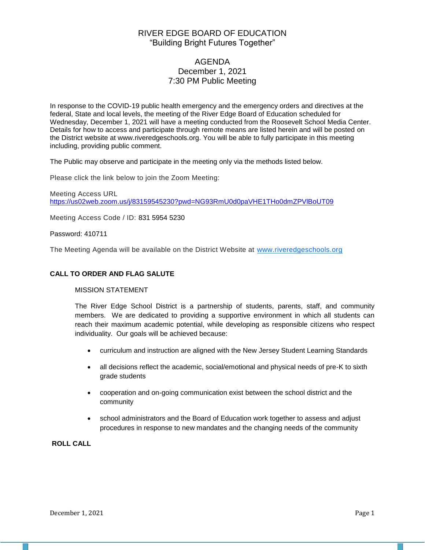# RIVER EDGE BOARD OF EDUCATION "Building Bright Futures Together"

# AGENDA December 1, 2021 7:30 PM Public Meeting

In response to the COVID-19 public health emergency and the emergency orders and directives at the federal, State and local levels, the meeting of the River Edge Board of Education scheduled for Wednesday, December 1, 2021 will have a meeting conducted from the Roosevelt School Media Center. Details for how to access and participate through remote means are listed herein and will be posted on the District website at www.riveredgeschools.org. You will be able to fully participate in this meeting including, providing public comment.

The Public may observe and participate in the meeting only via the methods listed below.

Please click the link below to join the Zoom Meeting:

Meeting Access URL <https://us02web.zoom.us/j/83159545230?pwd=NG93RmU0d0paVHE1THo0dmZPVlBoUT09>

Meeting Access Code / ID: 831 5954 5230

Password: 410711

The Meeting Agenda will be available on the District Website at www[.riveredgeschools.org](http://riveredgeschools.org/)

#### **CALL TO ORDER AND FLAG SALUTE**

#### MISSION STATEMENT

The River Edge School District is a partnership of students, parents, staff, and community members. We are dedicated to providing a supportive environment in which all students can reach their maximum academic potential, while developing as responsible citizens who respect individuality. Our goals will be achieved because:

- curriculum and instruction are aligned with the New Jersey Student Learning Standards
- all decisions reflect the academic, social/emotional and physical needs of pre-K to sixth grade students
- cooperation and on-going communication exist between the school district and the community
- school administrators and the Board of Education work together to assess and adjust procedures in response to new mandates and the changing needs of the community

### **ROLL CALL**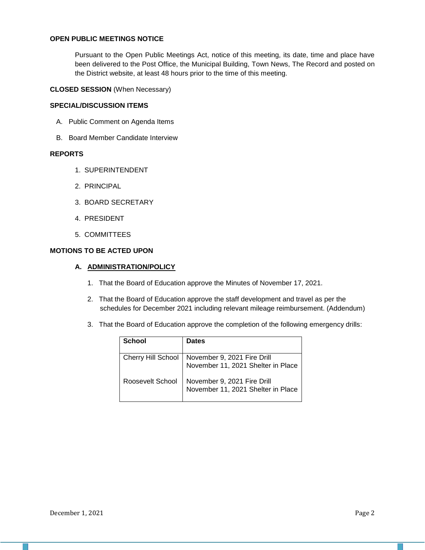### **OPEN PUBLIC MEETINGS NOTICE**

Pursuant to the Open Public Meetings Act, notice of this meeting, its date, time and place have been delivered to the Post Office, the Municipal Building, Town News, The Record and posted on the District website, at least 48 hours prior to the time of this meeting.

#### **CLOSED SESSION** (When Necessary)

#### **SPECIAL/DISCUSSION ITEMS**

- A. Public Comment on Agenda Items
- B. Board Member Candidate Interview

#### **REPORTS**

- 1. SUPERINTENDENT
- 2. PRINCIPAL
- 3. BOARD SECRETARY
- 4. PRESIDENT
- 5. COMMITTEES

#### **MOTIONS TO BE ACTED UPON**

#### **A. ADMINISTRATION/POLICY**

- 1. That the Board of Education approve the Minutes of November 17, 2021.
- 2. That the Board of Education approve the staff development and travel as per the schedules for December 2021 including relevant mileage reimbursement. (Addendum)
- 3. That the Board of Education approve the completion of the following emergency drills:

| <b>School</b>    | <b>Dates</b>                                                                           |
|------------------|----------------------------------------------------------------------------------------|
|                  | Cherry Hill School   November 9, 2021 Fire Drill<br>November 11, 2021 Shelter in Place |
| Roosevelt School | November 9, 2021 Fire Drill<br>November 11, 2021 Shelter in Place                      |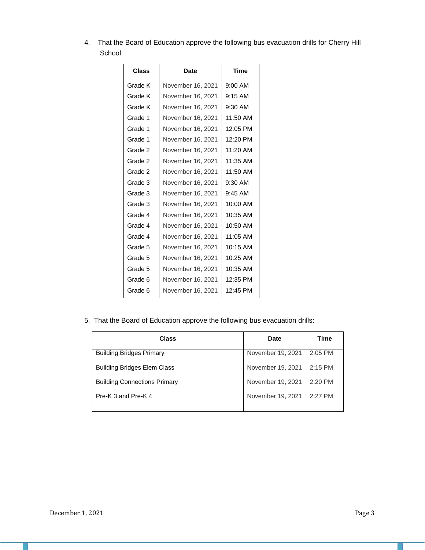4. That the Board of Education approve the following bus evacuation drills for Cherry Hill School:

| Class   | Date              | <b>Time</b> |
|---------|-------------------|-------------|
| Grade K | November 16, 2021 | $9:00$ AM   |
| Grade K | November 16, 2021 | $9:15$ AM   |
| Grade K | November 16, 2021 | $9:30$ AM   |
| Grade 1 | November 16, 2021 | 11:50 AM    |
| Grade 1 | November 16, 2021 | 12:05 PM    |
| Grade 1 | November 16, 2021 | 12:20 PM    |
| Grade 2 | November 16, 2021 | 11:20 AM    |
| Grade 2 | November 16, 2021 | 11:35 AM    |
| Grade 2 | November 16, 2021 | 11:50 AM    |
| Grade 3 | November 16, 2021 | 9:30 AM     |
| Grade 3 | November 16, 2021 | $9:45$ AM   |
| Grade 3 | November 16, 2021 | 10:00 AM    |
| Grade 4 | November 16, 2021 | 10:35 AM    |
| Grade 4 | November 16, 2021 | 10:50 AM    |
| Grade 4 | November 16, 2021 | $11:05$ AM  |
| Grade 5 | November 16, 2021 | $10:15$ AM  |
| Grade 5 | November 16, 2021 | $10:25$ AM  |
| Grade 5 | November 16, 2021 | 10:35 AM    |
| Grade 6 | November 16, 2021 | 12:35 PM    |
| Grade 6 | November 16, 2021 | 12:45 PM    |

5. That the Board of Education approve the following bus evacuation drills:

| <b>Class</b>                        | Date              | <b>Time</b> |
|-------------------------------------|-------------------|-------------|
| <b>Building Bridges Primary</b>     | November 19, 2021 | $2:05$ PM   |
| <b>Building Bridges Elem Class</b>  | November 19, 2021 | $2:15$ PM   |
| <b>Building Connections Primary</b> | November 19, 2021 | 2:20 PM     |
| Pre-K 3 and Pre-K 4                 | November 19, 2021 | $2:27$ PM   |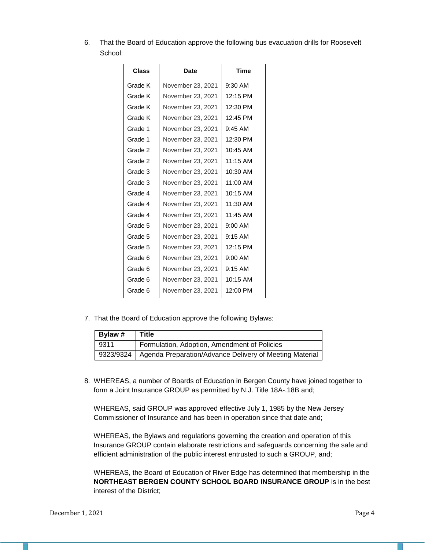6. That the Board of Education approve the following bus evacuation drills for Roosevelt School:

| Class   | Date              | <b>Time</b> |
|---------|-------------------|-------------|
| Grade K | November 23, 2021 | $9:30$ AM   |
| Grade K | November 23, 2021 | 12:15 PM    |
| Grade K | November 23, 2021 | 12:30 PM    |
| Grade K | November 23, 2021 | 12:45 PM    |
| Grade 1 | November 23, 2021 | $9:45$ AM   |
| Grade 1 | November 23, 2021 | 12:30 PM    |
| Grade 2 | November 23, 2021 | 10:45 AM    |
| Grade 2 | November 23, 2021 | $11:15$ AM  |
| Grade 3 | November 23, 2021 | $10:30$ AM  |
| Grade 3 | November 23, 2021 | 11:00 AM    |
| Grade 4 | November 23, 2021 | $10:15$ AM  |
| Grade 4 | November 23. 2021 | $11:30$ AM  |
| Grade 4 | November 23, 2021 | 11:45 AM    |
| Grade 5 | November 23, 2021 | $9:00$ AM   |
| Grade 5 | November 23, 2021 | $9:15$ AM   |
| Grade 5 | November 23, 2021 | 12:15 PM    |
| Grade 6 | November 23, 2021 | $9:00$ AM   |
| Grade 6 | November 23, 2021 | $9:15$ AM   |
| Grade 6 | November 23, 2021 | 10:15 AM    |
| Grade 6 | November 23, 2021 | 12:00 PM    |

7. That the Board of Education approve the following Bylaws:

| Bylaw #   | <b>Title</b>                                            |
|-----------|---------------------------------------------------------|
| 9311      | Formulation, Adoption, Amendment of Policies            |
| 9323/9324 | Agenda Preparation/Advance Delivery of Meeting Material |

8. WHEREAS, a number of Boards of Education in Bergen County have joined together to form a Joint Insurance GROUP as permitted by N.J. Title 18A-.18B and;

WHEREAS, said GROUP was approved effective July 1, 1985 by the New Jersey Commissioner of Insurance and has been in operation since that date and;

WHEREAS, the Bylaws and regulations governing the creation and operation of this Insurance GROUP contain elaborate restrictions and safeguards concerning the safe and efficient administration of the public interest entrusted to such a GROUP, and;

WHEREAS, the Board of Education of River Edge has determined that membership in the **NORTHEAST BERGEN COUNTY SCHOOL BOARD INSURANCE GROUP** is in the best interest of the District;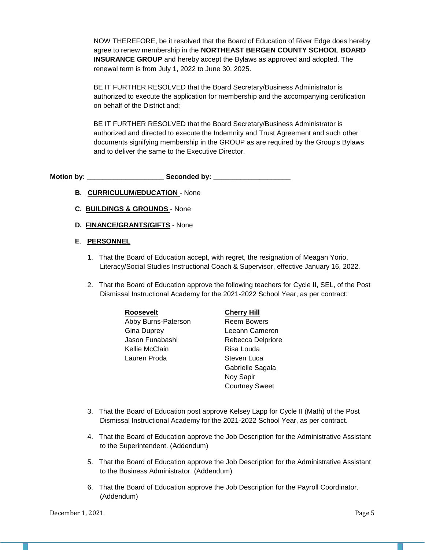NOW THEREFORE, be it resolved that the Board of Education of River Edge does hereby agree to renew membership in the **NORTHEAST BERGEN COUNTY SCHOOL BOARD INSURANCE GROUP** and hereby accept the Bylaws as approved and adopted. The renewal term is from July 1, 2022 to June 30, 2025.

BE IT FURTHER RESOLVED that the Board Secretary/Business Administrator is authorized to execute the application for membership and the accompanying certification on behalf of the District and;

BE IT FURTHER RESOLVED that the Board Secretary/Business Administrator is authorized and directed to execute the Indemnity and Trust Agreement and such other documents signifying membership in the GROUP as are required by the Group's Bylaws and to deliver the same to the Executive Director.

Motion by: **Example 20 Seconded by:** Seconded by:

- **B. CURRICULUM/EDUCATION** None
- **C. BUILDINGS & GROUNDS**  None
- **D. FINANCE/GRANTS/GIFTS** None
- **E**. **PERSONNEL**
	- 1. That the Board of Education accept, with regret, the resignation of Meagan Yorio, Literacy/Social Studies Instructional Coach & Supervisor, effective January 16, 2022.
	- 2. That the Board of Education approve the following teachers for Cycle II, SEL, of the Post Dismissal Instructional Academy for the 2021-2022 School Year, as per contract:

| <b>Roosevelt</b>    | <b>Cherry Hill</b>    |
|---------------------|-----------------------|
| Abby Burns-Paterson | <b>Reem Bowers</b>    |
| <b>Gina Duprey</b>  | Leeann Cameron        |
| Jason Funabashi     | Rebecca Delpriore     |
| Kellie McClain      | Risa Louda            |
| Lauren Proda        | Steven Luca           |
|                     | Gabrielle Sagala      |
|                     | Noy Sapir             |
|                     | <b>Courtney Sweet</b> |

- 3. That the Board of Education post approve Kelsey Lapp for Cycle II (Math) of the Post Dismissal Instructional Academy for the 2021-2022 School Year, as per contract.
- 4. That the Board of Education approve the Job Description for the Administrative Assistant to the Superintendent. (Addendum)
- 5. That the Board of Education approve the Job Description for the Administrative Assistant to the Business Administrator. (Addendum)
- 6. That the Board of Education approve the Job Description for the Payroll Coordinator. (Addendum)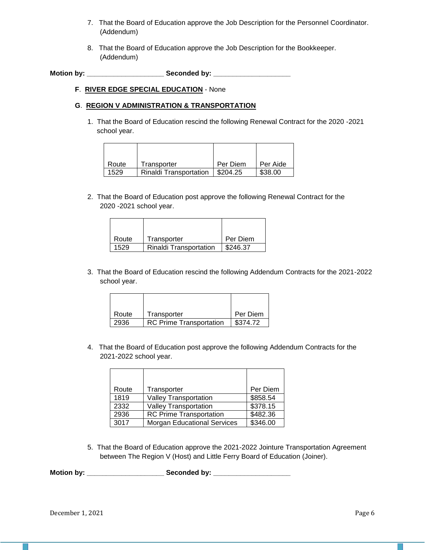- 7. That the Board of Education approve the Job Description for the Personnel Coordinator. (Addendum)
- 8. That the Board of Education approve the Job Description for the Bookkeeper. (Addendum)

**Motion by: \_\_\_\_\_\_\_\_\_\_\_\_\_\_\_\_\_\_\_\_ Seconded by: \_\_\_\_\_\_\_\_\_\_\_\_\_\_\_\_\_\_\_\_**

#### **F**. **RIVER EDGE SPECIAL EDUCATION** - None

## **G**. **REGION V ADMINISTRATION & TRANSPORTATION**

1. That the Board of Education rescind the following Renewal Contract for the 2020 -2021 school year.

| Route | Transporter                   | Per Diem | Per Aide |
|-------|-------------------------------|----------|----------|
| 1529  | <b>Rinaldi Transportation</b> | \$204.25 | \$38.00  |

2. That the Board of Education post approve the following Renewal Contract for the 2020 -2021 school year.

| Route | Transporter                   | l Per Diem             |
|-------|-------------------------------|------------------------|
| 1529  | <b>Rinaldi Transportation</b> | $\frac{1}{2}$ \$246.37 |

3. That the Board of Education rescind the following Addendum Contracts for the 2021-2022 school year.

| Route | Transporter                    | Per Diem |
|-------|--------------------------------|----------|
| 2936  | <b>RC Prime Transportation</b> | \$374.72 |

4. That the Board of Education post approve the following Addendum Contracts for the 2021-2022 school year.

| Route | Transporter                        | Per Diem |
|-------|------------------------------------|----------|
| 1819  | Valley Transportation              | \$858.54 |
| 2332  | Valley Transportation              | \$378.15 |
| 2936  | <b>RC Prime Transportation</b>     | \$482.36 |
| 3017  | <b>Morgan Educational Services</b> | \$346.00 |

5. That the Board of Education approve the 2021-2022 Jointure Transportation Agreement between The Region V (Host) and Little Ferry Board of Education (Joiner).

**Motion by: \_\_\_\_\_\_\_\_\_\_\_\_\_\_\_\_\_\_\_\_ Seconded by: \_\_\_\_\_\_\_\_\_\_\_\_\_\_\_\_\_\_\_\_**